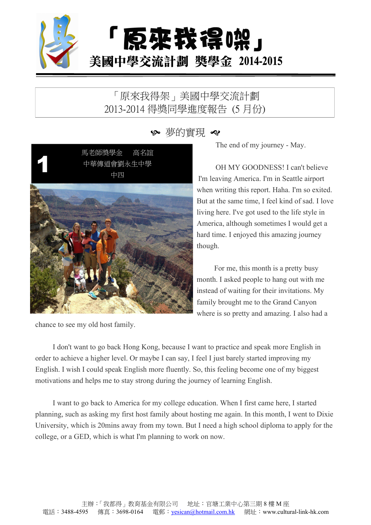

## 「原來我得架」美國中學交流計劃 2013-2014 得獎同學進度報告 (5 月份)

≫ 夢的實現 や

中華傳道會劉永生中學<br>中四<br>中四 馬老師獎學金 高名誼 中華傳道會劉永生中學 中四



chance to see my old host family.

The end of my journey - May.

OH MY GOODNESS! I can't believe I'm leaving America. I'm in Seattle airport when writing this report. Haha. I'm so exited. But at the same time, I feel kind of sad. I love living here. I've got used to the life style in America, although sometimes I would get a hard time. I enjoyed this amazing journey though.

For me, this month is a pretty busy month. I asked people to hang out with me instead of waiting for their invitations. My family brought me to the Grand Canyon where is so pretty and amazing. I also had a

I don't want to go back Hong Kong, because I want to practice and speak more English in order to achieve a higher level. Or maybe I can say, I feelI just barely started improving my English. I wish I could speak English more fluently. So, this feeling become one of my biggest motivations and helps me to stay strong during the journey of learning English.

I want to go back to America for my college education. When I first came here, I started planning, such as asking my first host family about hosting me again. In this month, I went to Dixie University, which is 20mins away from my town. But I need a high school diploma to apply for the college, or a GED, which is what I'm planning to work on now.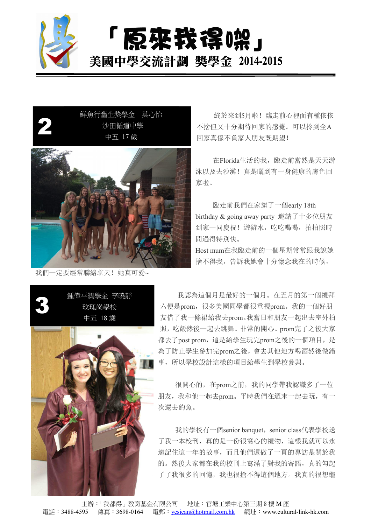

「原來我得晚」 美國中學交流計劃 獎學金 2014-2015



我們一定要經常聯絡聊天!她真可愛~

鮮魚行舊生獎學金 莫心怡 終於來到5月啦! 臨走前心裡面有種依依 不捨但又十分期待回家的感覺。可以拎到全A 回家真係不負家人朋友既期望! 中五 17 歲2 沙田循道中學 不捨但又十分期待回家的

> 在Florida生活的我,臨走前當然是天天游 泳以及去沙灘!真是曬到有一身健康的膚色回 家啦。

臨走前我們在家辦了一個early 18th birthday & going away party 邀請了十多位朋友 到家一同慶祝!遊游水,吃吃喝喝,拍拍照時 間過得特別快。

Host mum在我臨走前的一個星期常常跟我說她 捨不得我,告訴我她會十分懷念我在的時候,



鍾偉平獎學金 李曉靜 我認為這個月是最好的一個月。在五月的第一個禮拜 六便是prom,很多美國同學都很重視prom。我的一個好朋 中五 18 歲 友借了我一條裙給我去prom。我當日和朋友一起出去室外拍 照,吃飯然後一起去跳舞。非常的開心。prom完了之後大家 都去了post prom,這是給學生玩完prom之後的一個項目,是 為了防止學生參加完prom之後,會去其他地方喝酒然後做錯 事,所以學校設計這樣的項目給學生到學校參與。 3 玫瑰崗學校 六便是prom,很多美國同學者

> 很開心的,在prom之前,我的同學帶我認識多了一位 朋友,我和他一起去prom。平時我們在週末一起去玩,有一 次還去釣魚。

> 我的學校有一個senior banquet, senior class代表學校送 了我一本校刊,真的是一份很窩心的禮物,這樣我就可以永 遠記住這一年的故事,而且他們還做了一頁的專訪是關於我 的。然後大家都在我的校刊上寫滿了對我的寄語,真的勾起 了了我很多的回憶,我也很捨不得這個地方。我真的很想繼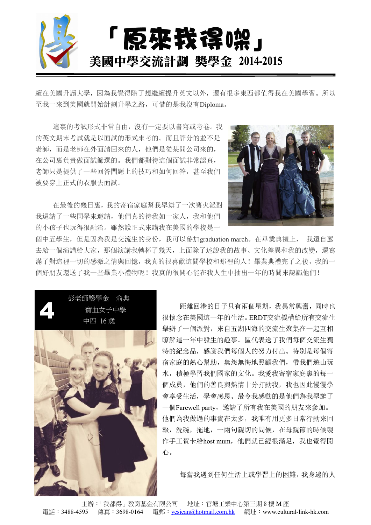

續在美國升讀大學,因為我覺得除了想繼續提升英文以外,還有很多東西都值得我在美國學習。所以 至我一來到美國就開始計劃升學之路,可惜的是我沒有Diploma。

這裏的考試形式非常自由,沒有一定要以書寫或考卷。我 的英文期末考試就是以面試的形式來考的。而且評分的並不是 老師,而是老師在外面請回來的人,他們是從某間公司來的, 在公司裏負責做面試篩選的。我們都對待這個面試非常認真, 老師只是提供了一些回答問題上的技巧和如何回答,甚至我們 被要穿上正式的衣服去面試。

在最後的幾日裏,我的寄宿家庭幫我舉辦了一次篝火派對 我還請了一些同學來邀請,他們真的待我如一家人,我和他們 的小孩子也玩得很融洽。雖然說正式來講我在美國的學校是一



個中五學生,但是因為我是交流生的身份,我可以參加graduation march。在畢業典禮上, 我還自薦 去給一個演講給大家,那個演講我轉杯了幾天,上面除了述說我的故事、文化差異和我的改變,還寫 滿了對這裡一切的感激之情與回憶,我真的很喜歡這間學校和那裡的人!畢業典禮完了之後,我的一 個好朋友還送了我一些畢業小禮物呢!我真的很開心能在我人生中抽出一年的時間來認識他們!

彭老師獎學金 俞典 寶血女子中學 中四 16 歲

距離回港的日子只有兩個星期,我異常興奮,同時也 很懷念在美國這一年的生活。ERDT交流機構給所有交流生 4 舉辦了一個派對,來自五湖四海的交流生聚集在一起互相 瞭解這一年中發生的趣事。區代表送了我們每個交流生獨 特的紀念品,感謝我們每個人的努力付出。特別是每個寄 宿家庭的熱心幫助,無怨無悔地照顧我們,帶我們遊山玩 水,積極學習我們國家的文化。我愛我寄宿家庭裏的每一 個成員,他們的善良與熱情十分打動我,我也因此慢慢學 會享受生活,學會感恩。最令我感動的是他們為我舉辦了 一個Farewell party,邀請了所有我在美國的朋友來參加。 他們為我做過的事實在太多,我唯有用更多日常行動來回 報,洗碗,拖地,一兩句親切的問候,在母親節的時候製 作手工賀卡給host mum,他們就已經很滿足,我也覺得開 心。 心。 心。 心。 心。 心。 心。 心。 心。 心。 心。 心。 心。 心。 心。 心。 心。 心。 心。 心。 心。 心。 心。 心。 心。 心。 心。 心。 心。 心。 心。 心。 心。 心。 心。 心。 心。

每當我遇到任何生活上或學習上的困難,我身邊的人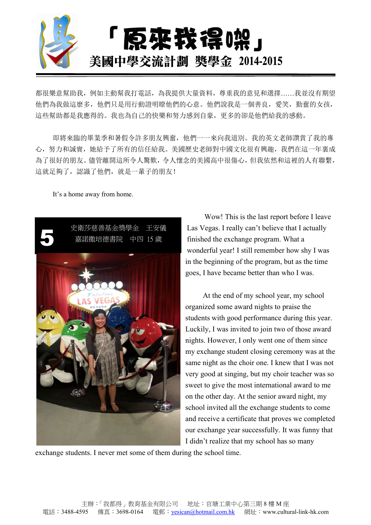

都很樂意幫助我,例如主動幫我打電話,為我提供大量資料,尊重我的意見和選擇……我並沒有期望 他們為我做這麼多,他們只是用行動證明瞭他們的心意。他們說我是一個善良,愛笑,勤奮的女孩, 這些幫助都是我應得的。我也為自己的快樂和努力感到自豪,更多的卻是他們給我的感動。

即將來臨的畢業季和暑假令許多朋友興奮,他們一一來向我道別。我的英文老師讚賞了我的專 心,努力和誠實,她給予了所有的信任給我。美國歷史老師對中國文化很有興趣,我們在這一年裏成 為了很好的朋友。儘管離開這所令人驚歎,令人懷念的美國高中很傷心,但我依然和這裡的人有聯繫, 這就足夠了,認識了他們,就是一輩子的朋友!

It's a home away from home.



Wow! This is the last report before I leave 史衛莎慈善基金獎學金 王安儀 Las Vegas. I really can't believe that I actually finished the exchange program. What a wonderful year! I still remember how shy I was in the beginning of the program, but as the time goes, I have became better than who I was. 文制沙遼普塞显突字显 工文展 Las vegas. I really can t believe that I actually<br>嘉諾撒培德書院 中四 15 歲 finished the exchange program. What a

> At the end of my school year, my school organized some award nights to praise the students with good performance during this year. Luckily, I was invited to join two of those award nights. However, I only went one of them since my exchange student closing ceremony was at the same night as the choir one. I knew that I was not very good at singing, but my choir teacher was so sweet to give the most international award to me on the other day. At the senior award night, my school invited all the exchange students to come and receive a certificate that proves we completed our exchange year successfully. It was funny that I didn't realize that my school has so many

exchange students. I never met some of them during the school time.